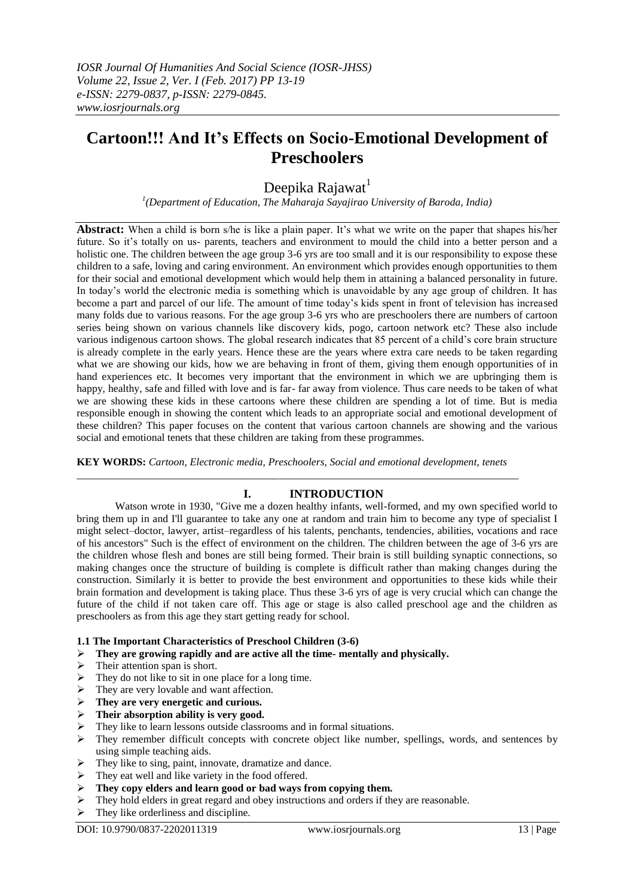# **Cartoon!!! And It's Effects on Socio-Emotional Development of Preschoolers**

## Deepika Rajawat<sup>1</sup>

*1 (Department of Education, The Maharaja Sayajirao University of Baroda, India)*

**Abstract:** When a child is born s/he is like a plain paper. It's what we write on the paper that shapes his/her future. So it's totally on us- parents, teachers and environment to mould the child into a better person and a holistic one. The children between the age group 3-6 yrs are too small and it is our responsibility to expose these children to a safe, loving and caring environment. An environment which provides enough opportunities to them for their social and emotional development which would help them in attaining a balanced personality in future. In today's world the electronic media is something which is unavoidable by any age group of children. It has become a part and parcel of our life. The amount of time today's kids spent in front of television has increased many folds due to various reasons. For the age group 3-6 yrs who are preschoolers there are numbers of cartoon series being shown on various channels like discovery kids, pogo, cartoon network etc? These also include various indigenous cartoon shows. The global research indicates that 85 percent of a child's core brain structure is already complete in the early years. Hence these are the years where extra care needs to be taken regarding what we are showing our kids, how we are behaving in front of them, giving them enough opportunities of in hand experiences etc. It becomes very important that the environment in which we are upbringing them is happy, healthy, safe and filled with love and is far- far away from violence. Thus care needs to be taken of what we are showing these kids in these cartoons where these children are spending a lot of time. But is media responsible enough in showing the content which leads to an appropriate social and emotional development of these children? This paper focuses on the content that various cartoon channels are showing and the various social and emotional tenets that these children are taking from these programmes.

**KEY WORDS:** *Cartoon, Electronic media, Preschoolers, Social and emotional development, tenets* \_\_\_\_\_\_\_\_\_\_\_\_\_\_\_\_\_\_\_\_\_\_\_\_\_\_\_\_\_\_\_\_\_\_\_\_\_\_\_\_\_\_\_\_\_\_\_\_\_\_\_\_\_\_\_\_\_\_\_\_\_\_\_\_\_\_\_\_\_\_\_\_\_\_\_\_\_\_\_\_\_\_\_

## **I. INTRODUCTION**

Watson wrote in 1930, "Give me a dozen healthy infants, well-formed, and my own specified world to bring them up in and I'll guarantee to take any one at random and train him to become any type of specialist I might select–doctor, lawyer, artist–regardless of his talents, penchants, tendencies, abilities, vocations and race of his ancestors" Such is the effect of environment on the children. The children between the age of 3-6 yrs are the children whose flesh and bones are still being formed. Their brain is still building synaptic connections, so making changes once the structure of building is complete is difficult rather than making changes during the construction. Similarly it is better to provide the best environment and opportunities to these kids while their brain formation and development is taking place. Thus these 3-6 yrs of age is very crucial which can change the future of the child if not taken care off. This age or stage is also called preschool age and the children as preschoolers as from this age they start getting ready for school.

## **1.1 The Important Characteristics of Preschool Children (3-6)**

- **They are growing rapidly and are active all the time- mentally and physically.**
- $\triangleright$  Their attention span is short.
- $\triangleright$  They do not like to sit in one place for a long time.
- $\triangleright$  They are very lovable and want affection.
- **They are very energetic and curious.**
- **Their absorption ability is very good.**
- They like to learn lessons outside classrooms and in formal situations.
- > They remember difficult concepts with concrete object like number, spellings, words, and sentences by using simple teaching aids.
- $\triangleright$  They like to sing, paint, innovate, dramatize and dance.
- $\triangleright$  They eat well and like variety in the food offered.
- **They copy elders and learn good or bad ways from copying them.**
- $\triangleright$  They hold elders in great regard and obey instructions and orders if they are reasonable.
- They like orderliness and discipline.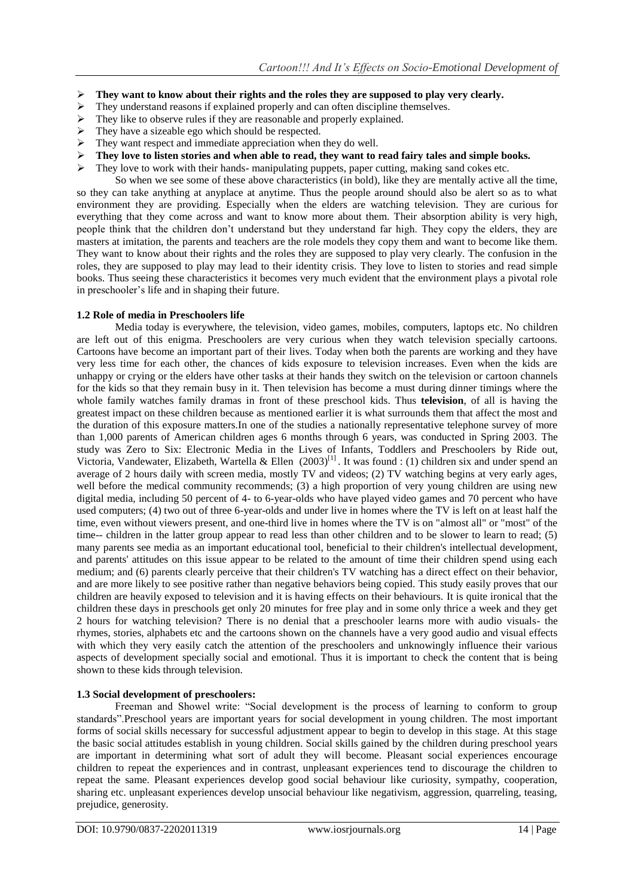- **They want to know about their rights and the roles they are supposed to play very clearly.**<br>
They understand reasons if explained properly and can often discipline themselves.
- They understand reasons if explained properly and can often discipline themselves.
- $\triangleright$  They like to observe rules if they are reasonable and properly explained.
- $\triangleright$  They have a sizeable ego which should be respected.
- They want respect and immediate appreciation when they do well.
- **They love to listen stories and when able to read, they want to read fairy tales and simple books.**
- $\triangleright$  They love to work with their hands- manipulating puppets, paper cutting, making sand cokes etc.

So when we see some of these above characteristics (in bold), like they are mentally active all the time, so they can take anything at anyplace at anytime. Thus the people around should also be alert so as to what environment they are providing. Especially when the elders are watching television. They are curious for everything that they come across and want to know more about them. Their absorption ability is very high, people think that the children don't understand but they understand far high. They copy the elders, they are masters at imitation, the parents and teachers are the role models they copy them and want to become like them. They want to know about their rights and the roles they are supposed to play very clearly. The confusion in the roles, they are supposed to play may lead to their identity crisis. They love to listen to stories and read simple books. Thus seeing these characteristics it becomes very much evident that the environment plays a pivotal role in preschooler's life and in shaping their future.

### **1.2 Role of media in Preschoolers life**

Media today is everywhere, the television, video games, mobiles, computers, laptops etc. No children are left out of this enigma. Preschoolers are very curious when they watch television specially cartoons. Cartoons have become an important part of their lives. Today when both the parents are working and they have very less time for each other, the chances of kids exposure to television increases. Even when the kids are unhappy or crying or the elders have other tasks at their hands they switch on the television or cartoon channels for the kids so that they remain busy in it. Then television has become a must during dinner timings where the whole family watches family dramas in front of these preschool kids. Thus **television**, of all is having the greatest impact on these children because as mentioned earlier it is what surrounds them that affect the most and the duration of this exposure matters.In one of the studies a nationally representative telephone survey of more than 1,000 parents of American children ages 6 months through 6 years, was conducted in Spring 2003. The study was Zero to Six: Electronic Media in the Lives of Infants, Toddlers and Preschoolers by Ride out, Victoria, Vandewater, Elizabeth, Wartella & Ellen  $(2003)^{[1]}$ . It was found : (1) children six and under spend an average of 2 hours daily with screen media, mostly TV and videos; (2) TV watching begins at very early ages, well before the medical community recommends; (3) a high proportion of very young children are using new digital media, including 50 percent of 4- to 6-year-olds who have played video games and 70 percent who have used computers; (4) two out of three 6-year-olds and under live in homes where the TV is left on at least half the time, even without viewers present, and one-third live in homes where the TV is on "almost all" or "most" of the time-- children in the latter group appear to read less than other children and to be slower to learn to read; (5) many parents see media as an important educational tool, beneficial to their children's intellectual development, and parents' attitudes on this issue appear to be related to the amount of time their children spend using each medium; and (6) parents clearly perceive that their children's TV watching has a direct effect on their behavior, and are more likely to see positive rather than negative behaviors being copied. This study easily proves that our children are heavily exposed to television and it is having effects on their behaviours. It is quite ironical that the children these days in preschools get only 20 minutes for free play and in some only thrice a week and they get 2 hours for watching television? There is no denial that a preschooler learns more with audio visuals- the rhymes, stories, alphabets etc and the cartoons shown on the channels have a very good audio and visual effects with which they very easily catch the attention of the preschoolers and unknowingly influence their various aspects of development specially social and emotional. Thus it is important to check the content that is being shown to these kids through television.

## **1.3 Social development of preschoolers:**

Freeman and Showel write: "Social development is the process of learning to conform to group standards".Preschool years are important years for social development in young children. The most important forms of social skills necessary for successful adjustment appear to begin to develop in this stage. At this stage the basic social attitudes establish in young children. Social skills gained by the children during preschool years are important in determining what sort of adult they will become. Pleasant social experiences encourage children to repeat the experiences and in contrast, unpleasant experiences tend to discourage the children to repeat the same. Pleasant experiences develop good social behaviour like curiosity, sympathy, cooperation, sharing etc. unpleasant experiences develop unsocial behaviour like negativism, aggression, quarreling, teasing, prejudice, generosity.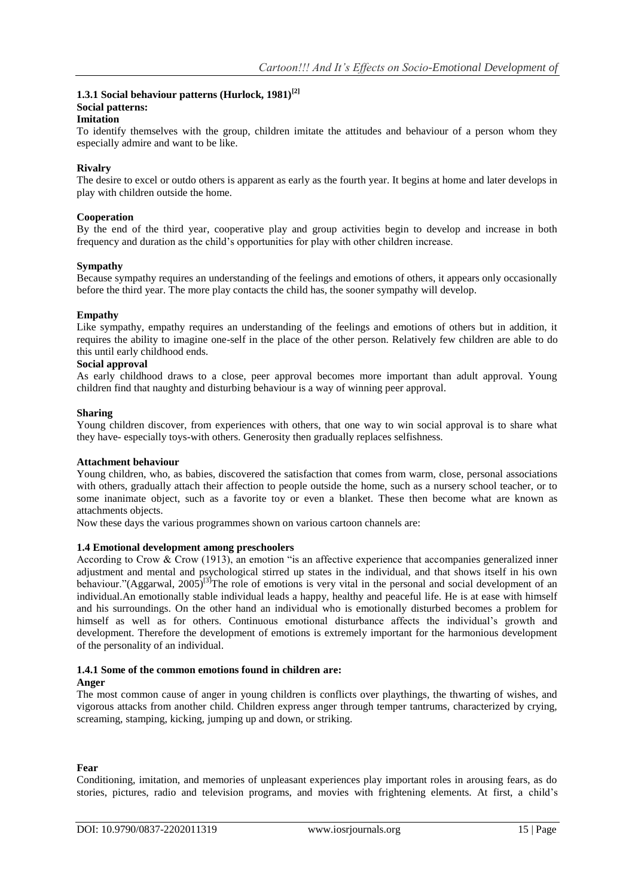## **1.3.1 Social behaviour patterns (Hurlock, 1981)[2] Social patterns:**

### **Imitation**

To identify themselves with the group, children imitate the attitudes and behaviour of a person whom they especially admire and want to be like.

#### **Rivalry**

The desire to excel or outdo others is apparent as early as the fourth year. It begins at home and later develops in play with children outside the home.

#### **Cooperation**

By the end of the third year, cooperative play and group activities begin to develop and increase in both frequency and duration as the child's opportunities for play with other children increase.

#### **Sympathy**

Because sympathy requires an understanding of the feelings and emotions of others, it appears only occasionally before the third year. The more play contacts the child has, the sooner sympathy will develop.

#### **Empathy**

Like sympathy, empathy requires an understanding of the feelings and emotions of others but in addition, it requires the ability to imagine one-self in the place of the other person. Relatively few children are able to do this until early childhood ends.

#### **Social approval**

As early childhood draws to a close, peer approval becomes more important than adult approval. Young children find that naughty and disturbing behaviour is a way of winning peer approval.

#### **Sharing**

Young children discover, from experiences with others, that one way to win social approval is to share what they have- especially toys-with others. Generosity then gradually replaces selfishness.

#### **Attachment behaviour**

Young children, who, as babies, discovered the satisfaction that comes from warm, close, personal associations with others, gradually attach their affection to people outside the home, such as a nursery school teacher, or to some inanimate object, such as a favorite toy or even a blanket. These then become what are known as attachments objects.

Now these days the various programmes shown on various cartoon channels are:

#### **1.4 Emotional development among preschoolers**

According to Crow & Crow (1913), an emotion "is an affective experience that accompanies generalized inner adjustment and mental and psychological stirred up states in the individual, and that shows itself in his own behaviour."(Aggarwal,  $2005$ <sup>[3]</sup>The role of emotions is very vital in the personal and social development of an individual.An emotionally stable individual leads a happy, healthy and peaceful life. He is at ease with himself and his surroundings. On the other hand an individual who is emotionally disturbed becomes a problem for himself as well as for others. Continuous emotional disturbance affects the individual's growth and development. Therefore the development of emotions is extremely important for the harmonious development of the personality of an individual.

## **1.4.1 Some of the common emotions found in children are:**

#### **Anger**

The most common cause of anger in young children is conflicts over playthings, the thwarting of wishes, and vigorous attacks from another child. Children express anger through temper tantrums, characterized by crying, screaming, stamping, kicking, jumping up and down, or striking.

#### **Fear**

Conditioning, imitation, and memories of unpleasant experiences play important roles in arousing fears, as do stories, pictures, radio and television programs, and movies with frightening elements. At first, a child's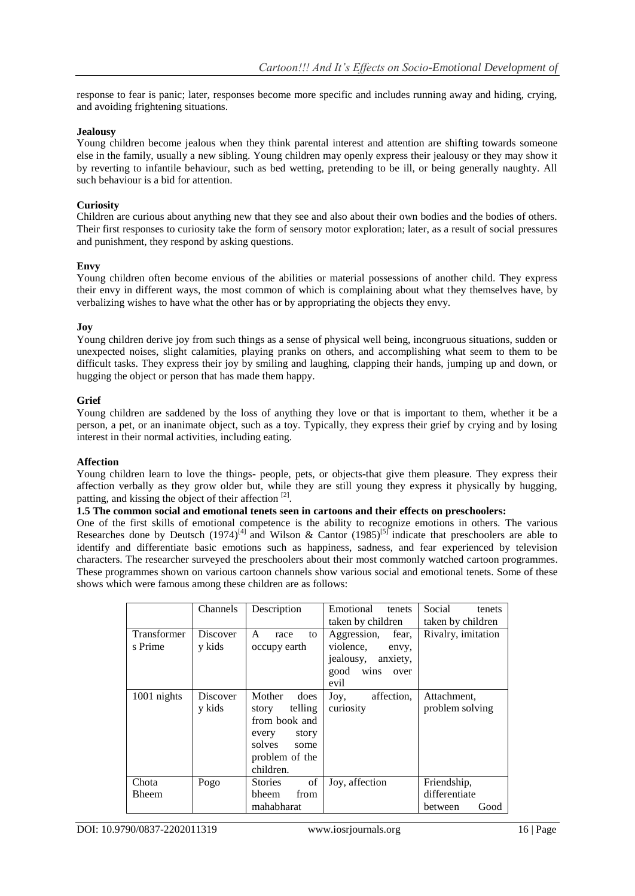response to fear is panic; later, responses become more specific and includes running away and hiding, crying, and avoiding frightening situations.

#### **Jealousy**

Young children become jealous when they think parental interest and attention are shifting towards someone else in the family, usually a new sibling. Young children may openly express their jealousy or they may show it by reverting to infantile behaviour, such as bed wetting, pretending to be ill, or being generally naughty. All such behaviour is a bid for attention.

## **Curiosity**

Children are curious about anything new that they see and also about their own bodies and the bodies of others. Their first responses to curiosity take the form of sensory motor exploration; later, as a result of social pressures and punishment, they respond by asking questions.

### **Envy**

Young children often become envious of the abilities or material possessions of another child. They express their envy in different ways, the most common of which is complaining about what they themselves have, by verbalizing wishes to have what the other has or by appropriating the objects they envy.

#### **Joy**

Young children derive joy from such things as a sense of physical well being, incongruous situations, sudden or unexpected noises, slight calamities, playing pranks on others, and accomplishing what seem to them to be difficult tasks. They express their joy by smiling and laughing, clapping their hands, jumping up and down, or hugging the object or person that has made them happy.

#### **Grief**

Young children are saddened by the loss of anything they love or that is important to them, whether it be a person, a pet, or an inanimate object, such as a toy. Typically, they express their grief by crying and by losing interest in their normal activities, including eating.

#### **Affection**

Young children learn to love the things- people, pets, or objects-that give them pleasure. They express their affection verbally as they grow older but, while they are still young they express it physically by hugging, patting, and kissing the object of their affection<sup>[2]</sup>.

#### **1.5 The common social and emotional tenets seen in cartoons and their effects on preschoolers:**

One of the first skills of emotional competence is the ability to recognize emotions in others. The various Researches done by Deutsch (1974)<sup>[4]</sup> and Wilson & Cantor (1985)<sup>[5]</sup> indicate that preschoolers are able to identify and differentiate basic emotions such as happiness, sadness, and fear experienced by television characters. The researcher surveyed the preschoolers about their most commonly watched cartoon programmes. These programmes shown on various cartoon channels show various social and emotional tenets. Some of these shows which were famous among these children are as follows:

|                        | Channels           | Description                                                                                                         | Emotional<br>tenets<br>taken by children                                                      | Social<br>tenets<br>taken by children           |
|------------------------|--------------------|---------------------------------------------------------------------------------------------------------------------|-----------------------------------------------------------------------------------------------|-------------------------------------------------|
| Transformer<br>s Prime | Discover<br>y kids | A<br>race<br>to<br>occupy earth                                                                                     | Aggression,<br>fear.<br>violence,<br>envy,<br>jealousy, anxiety,<br>good wins<br>over<br>evil | Rivalry, imitation                              |
| 1001 nights            | Discover<br>y kids | Mother<br>does<br>telling<br>story<br>from book and<br>story<br>every<br>solves some<br>problem of the<br>children. | Joy,<br>affection,<br>curiosity                                                               | Attachment,<br>problem solving                  |
| Chota<br><b>Bheem</b>  | Pogo               | of<br>Stories<br>bheem<br>from<br>mahabharat                                                                        | Joy, affection                                                                                | Friendship,<br>differentiate<br>between<br>Good |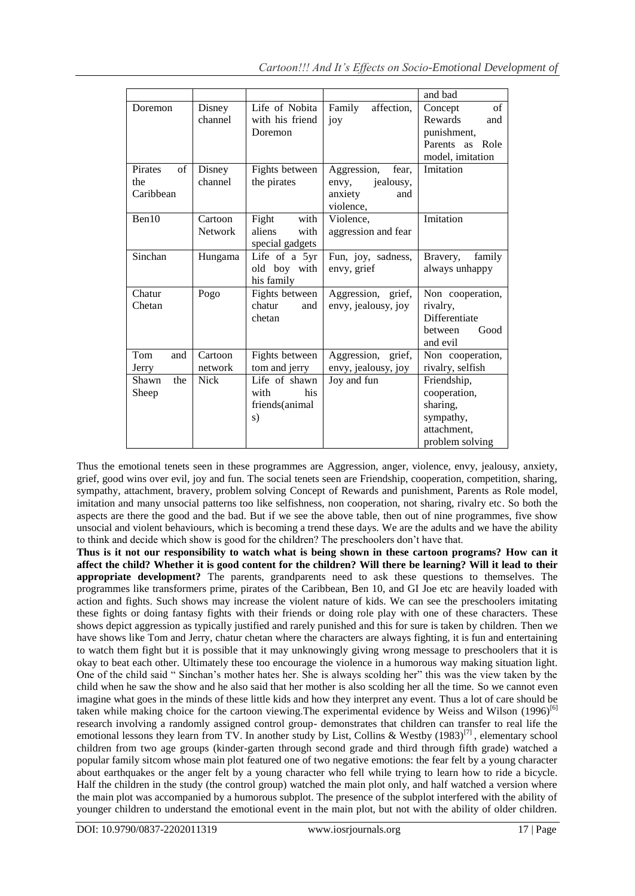|               |                |                 |                       | and bad               |
|---------------|----------------|-----------------|-----------------------|-----------------------|
| Doremon       | Disney         | Life of Nobita  | Family<br>affection,  | $\sigma$ f<br>Concept |
|               | channel        | with his friend | joy                   | Rewards<br>and        |
|               |                | Doremon         |                       | punishment,           |
|               |                |                 |                       | Parents as<br>Role    |
|               |                |                 |                       | model, imitation      |
| Pirates<br>of | Disney         | Fights between  | Aggression,<br>fear,  | Imitation             |
| the           | channel        | the pirates     | jealousy,<br>envy,    |                       |
| Caribbean     |                |                 | anxiety<br>and        |                       |
|               |                |                 | violence,             |                       |
| Ben10         | Cartoon        | Fight<br>with   | Violence,             | Imitation             |
|               | <b>Network</b> | aliens<br>with  | aggression and fear   |                       |
|               |                | special gadgets |                       |                       |
| Sinchan       | Hungama        | Life of a 5yr   | Fun, joy, sadness,    | Bravery,<br>family    |
|               |                | old boy with    | envy, grief           | always unhappy        |
|               |                | his family      |                       |                       |
| Chatur        | Pogo           | Fights between  | Aggression, grief,    | Non cooperation,      |
| Chetan        |                | chatur<br>and   | envy, jealousy, joy   | rivalry.              |
|               |                | chetan          |                       | Differentiate         |
|               |                |                 |                       | Good<br>between       |
|               |                |                 |                       | and evil              |
| Tom<br>and    | Cartoon        | Fights between  | Aggression,<br>grief, | Non cooperation,      |
| Jerry         | network        | tom and jerry   | envy, jealousy, joy   | rivalry, selfish      |
| the<br>Shawn  | <b>Nick</b>    | Life of shawn   | Joy and fun           | Friendship,           |
| Sheep         |                | his<br>with     |                       | cooperation,          |
|               |                | friends(animal  |                       | sharing,              |
|               |                | s)              |                       | sympathy,             |
|               |                |                 |                       | attachment,           |
|               |                |                 |                       | problem solving       |

Thus the emotional tenets seen in these programmes are Aggression, anger, violence, envy, jealousy, anxiety, grief, good wins over evil, joy and fun. The social tenets seen are Friendship, cooperation, competition, sharing, sympathy, attachment, bravery, problem solving Concept of Rewards and punishment, Parents as Role model, imitation and many unsocial patterns too like selfishness, non cooperation, not sharing, rivalry etc. So both the aspects are there the good and the bad. But if we see the above table, then out of nine programmes, five show unsocial and violent behaviours, which is becoming a trend these days. We are the adults and we have the ability to think and decide which show is good for the children? The preschoolers don't have that.

**Thus is it not our responsibility to watch what is being shown in these cartoon programs? How can it affect the child? Whether it is good content for the children? Will there be learning? Will it lead to their appropriate development?** The parents, grandparents need to ask these questions to themselves. The programmes like transformers prime, pirates of the Caribbean, Ben 10, and GI Joe etc are heavily loaded with action and fights. Such shows may increase the violent nature of kids. We can see the preschoolers imitating these fights or doing fantasy fights with their friends or doing role play with one of these characters. These shows depict aggression as typically justified and rarely punished and this for sure is taken by children. Then we have shows like Tom and Jerry, chatur chetan where the characters are always fighting, it is fun and entertaining to watch them fight but it is possible that it may unknowingly giving wrong message to preschoolers that it is okay to beat each other. Ultimately these too encourage the violence in a humorous way making situation light. One of the child said " Sinchan's mother hates her. She is always scolding her" this was the view taken by the child when he saw the show and he also said that her mother is also scolding her all the time. So we cannot even imagine what goes in the minds of these little kids and how they interpret any event. Thus a lot of care should be taken while making choice for the cartoon viewing. The experimental evidence by Weiss and Wilson (1996)<sup>[6]</sup> research involving a randomly assigned control group- demonstrates that children can transfer to real life the emotional lessons they learn from TV. In another study by List, Collins & Westby  $(1983)^{[7]}$ , elementary school children from two age groups (kinder-garten through second grade and third through fifth grade) watched a popular family sitcom whose main plot featured one of two negative emotions: the fear felt by a young character about earthquakes or the anger felt by a young character who fell while trying to learn how to ride a bicycle. Half the children in the study (the control group) watched the main plot only, and half watched a version where the main plot was accompanied by a humorous subplot. The presence of the subplot interfered with the ability of younger children to understand the emotional event in the main plot, but not with the ability of older children.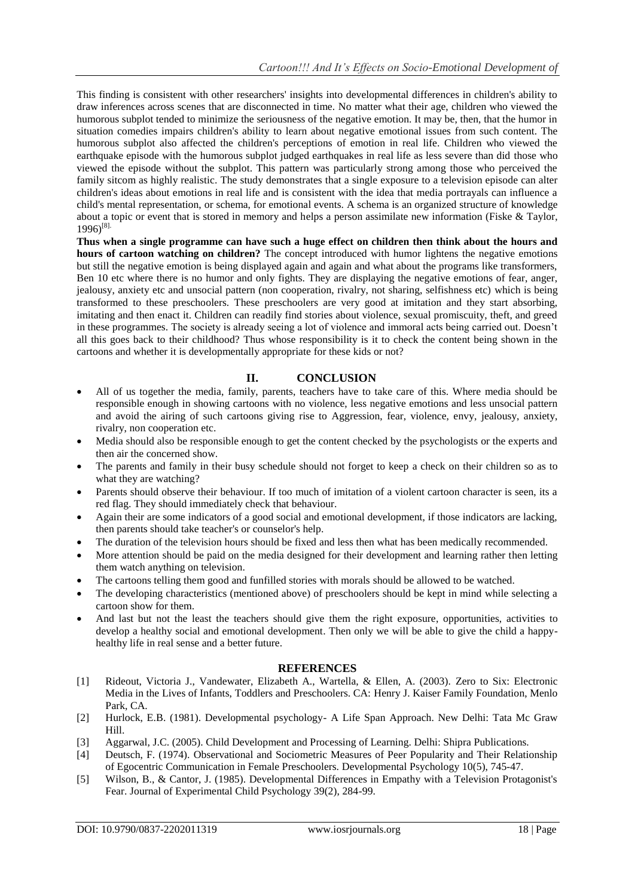This finding is consistent with other researchers' insights into developmental differences in children's ability to draw inferences across scenes that are disconnected in time. No matter what their age, children who viewed the humorous subplot tended to minimize the seriousness of the negative emotion. It may be, then, that the humor in situation comedies impairs children's ability to learn about negative emotional issues from such content. The humorous subplot also affected the children's perceptions of emotion in real life. Children who viewed the earthquake episode with the humorous subplot judged earthquakes in real life as less severe than did those who viewed the episode without the subplot. This pattern was particularly strong among those who perceived the family sitcom as highly realistic. The study demonstrates that a single exposure to a television episode can alter children's ideas about emotions in real life and is consistent with the idea that media portrayals can influence a child's mental representation, or schema, for emotional events. A schema is an organized structure of knowledge about a topic or event that is stored in memory and helps a person assimilate new information (Fiske & Taylor, 1996) [8].

**Thus when a single programme can have such a huge effect on children then think about the hours and hours of cartoon watching on children?** The concept introduced with humor lightens the negative emotions but still the negative emotion is being displayed again and again and what about the programs like transformers, Ben 10 etc where there is no humor and only fights. They are displaying the negative emotions of fear, anger, jealousy, anxiety etc and unsocial pattern (non cooperation, rivalry, not sharing, selfishness etc) which is being transformed to these preschoolers. These preschoolers are very good at imitation and they start absorbing, imitating and then enact it. Children can readily find stories about violence, sexual promiscuity, theft, and greed in these programmes. The society is already seeing a lot of violence and immoral acts being carried out. Doesn't all this goes back to their childhood? Thus whose responsibility is it to check the content being shown in the cartoons and whether it is developmentally appropriate for these kids or not?

## **II. CONCLUSION**

- All of us together the media, family, parents, teachers have to take care of this. Where media should be responsible enough in showing cartoons with no violence, less negative emotions and less unsocial pattern and avoid the airing of such cartoons giving rise to Aggression, fear, violence, envy, jealousy, anxiety, rivalry, non cooperation etc.
- Media should also be responsible enough to get the content checked by the psychologists or the experts and then air the concerned show.
- The parents and family in their busy schedule should not forget to keep a check on their children so as to what they are watching?
- Parents should observe their behaviour. If too much of imitation of a violent cartoon character is seen, its a red flag. They should immediately check that behaviour.
- Again their are some indicators of a good social and emotional development, if those indicators are lacking, then parents should take teacher's or counselor's help.
- The duration of the television hours should be fixed and less then what has been medically recommended.
- More attention should be paid on the media designed for their development and learning rather then letting them watch anything on television.
- The cartoons telling them good and funfilled stories with morals should be allowed to be watched.
- The developing characteristics (mentioned above) of preschoolers should be kept in mind while selecting a cartoon show for them.
- And last but not the least the teachers should give them the right exposure, opportunities, activities to develop a healthy social and emotional development. Then only we will be able to give the child a happyhealthy life in real sense and a better future.

## **REFERENCES**

- [1] Rideout, Victoria J., Vandewater, Elizabeth A., Wartella, & Ellen, A. (2003). Zero to Six: Electronic Media in the Lives of Infants, Toddlers and Preschoolers. CA: Henry J. Kaiser Family Foundation, Menlo Park, CA.
- [2] Hurlock, E.B. (1981). Developmental psychology- A Life Span Approach. New Delhi: Tata Mc Graw Hill.
- [3] Aggarwal, J.C. (2005). Child Development and Processing of Learning. Delhi: Shipra Publications.
- [4] Deutsch, F. (1974). Observational and Sociometric Measures of Peer Popularity and Their Relationship of Egocentric Communication in Female Preschoolers. Developmental Psychology 10(5), 745-47.
- [5] Wilson, B., & Cantor, J. (1985). Developmental Differences in Empathy with a Television Protagonist's Fear. Journal of Experimental Child Psychology 39(2), 284-99.